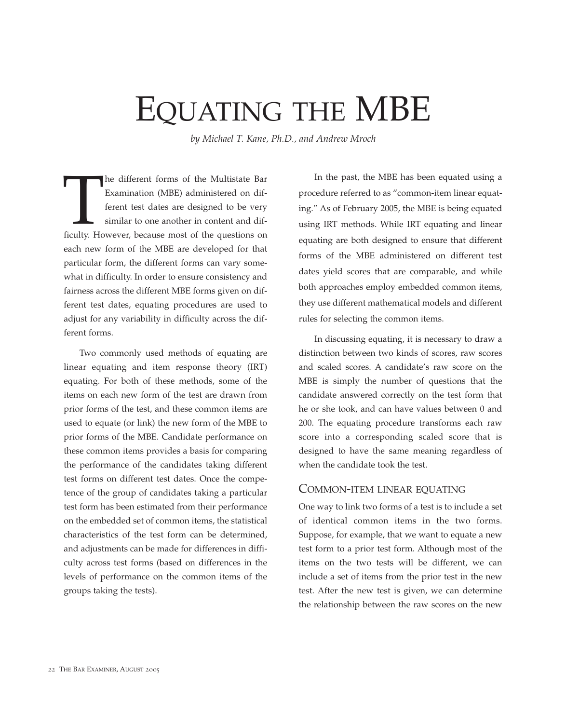# EQUATING THE MBE

*by Michael T. Kane, Ph.D., and Andrew Mroch*

The different forms of the Multistate Bar<br>
Examination (MBE) administered on dif-<br>
ferent test dates are designed to be very<br>
similar to one another in content and dif-<br>
ficulty. However, because most of the questions on Examination (MBE) administered on different test dates are designed to be very similar to one another in content and difeach new form of the MBE are developed for that particular form, the different forms can vary somewhat in difficulty. In order to ensure consistency and fairness across the different MBE forms given on different test dates, equating procedures are used to adjust for any variability in difficulty across the different forms.

Two commonly used methods of equating are linear equating and item response theory (IRT) equating. For both of these methods, some of the items on each new form of the test are drawn from prior forms of the test, and these common items are used to equate (or link) the new form of the MBE to prior forms of the MBE. Candidate performance on these common items provides a basis for comparing the performance of the candidates taking different test forms on different test dates. Once the competence of the group of candidates taking a particular test form has been estimated from their performance on the embedded set of common items, the statistical characteristics of the test form can be determined, and adjustments can be made for differences in difficulty across test forms (based on differences in the levels of performance on the common items of the groups taking the tests).

In the past, the MBE has been equated using a procedure referred to as "common-item linear equating." As of February 2005, the MBE is being equated using IRT methods. While IRT equating and linear equating are both designed to ensure that different forms of the MBE administered on different test dates yield scores that are comparable, and while both approaches employ embedded common items, they use different mathematical models and different rules for selecting the common items.

In discussing equating, it is necessary to draw a distinction between two kinds of scores, raw scores and scaled scores. A candidate's raw score on the MBE is simply the number of questions that the candidate answered correctly on the test form that he or she took, and can have values between 0 and 200. The equating procedure transforms each raw score into a corresponding scaled score that is designed to have the same meaning regardless of when the candidate took the test.

#### COMMON-ITEM LINEAR EQUATING

One way to link two forms of a test is to include a set of identical common items in the two forms. Suppose, for example, that we want to equate a new test form to a prior test form. Although most of the items on the two tests will be different, we can include a set of items from the prior test in the new test. After the new test is given, we can determine the relationship between the raw scores on the new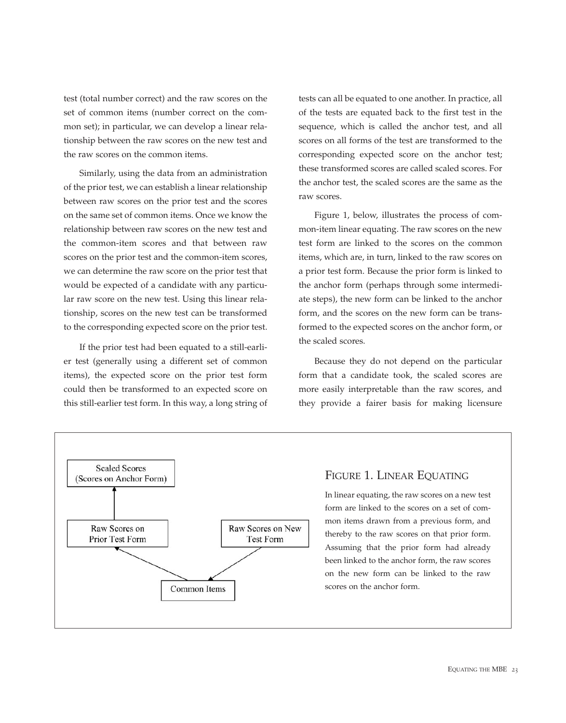test (total number correct) and the raw scores on the set of common items (number correct on the common set); in particular, we can develop a linear relationship between the raw scores on the new test and the raw scores on the common items.

Similarly, using the data from an administration of the prior test, we can establish a linear relationship between raw scores on the prior test and the scores on the same set of common items. Once we know the relationship between raw scores on the new test and the common-item scores and that between raw scores on the prior test and the common-item scores, we can determine the raw score on the prior test that would be expected of a candidate with any particular raw score on the new test. Using this linear relationship, scores on the new test can be transformed to the corresponding expected score on the prior test.

If the prior test had been equated to a still-earlier test (generally using a different set of common items), the expected score on the prior test form could then be transformed to an expected score on this still-earlier test form. In this way, a long string of tests can all be equated to one another. In practice, all of the tests are equated back to the first test in the sequence, which is called the anchor test, and all scores on all forms of the test are transformed to the corresponding expected score on the anchor test; these transformed scores are called scaled scores. For the anchor test, the scaled scores are the same as the raw scores.

Figure 1, below, illustrates the process of common-item linear equating. The raw scores on the new test form are linked to the scores on the common items, which are, in turn, linked to the raw scores on a prior test form. Because the prior form is linked to the anchor form (perhaps through some intermediate steps), the new form can be linked to the anchor form, and the scores on the new form can be transformed to the expected scores on the anchor form, or the scaled scores.

Because they do not depend on the particular form that a candidate took, the scaled scores are more easily interpretable than the raw scores, and they provide a fairer basis for making licensure



### FIGURE 1. LINEAR EQUATING

In linear equating, the raw scores on a new test form are linked to the scores on a set of common items drawn from a previous form, and thereby to the raw scores on that prior form. Assuming that the prior form had already been linked to the anchor form, the raw scores on the new form can be linked to the raw scores on the anchor form.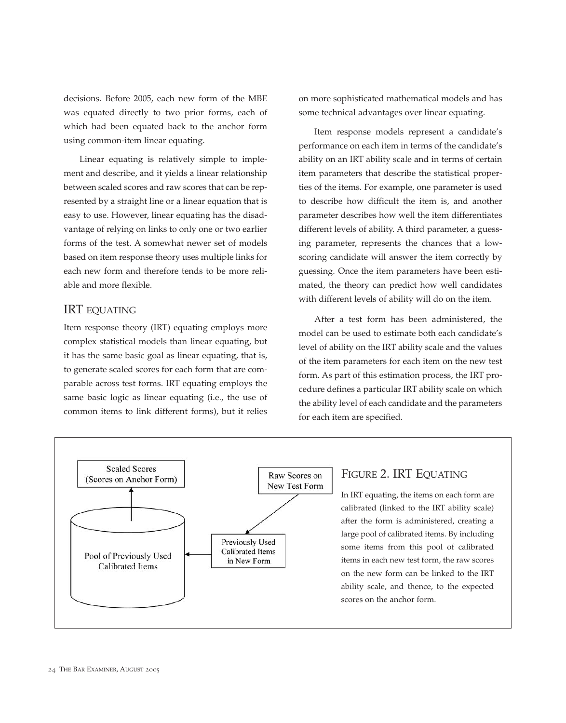decisions. Before 2005, each new form of the MBE was equated directly to two prior forms, each of which had been equated back to the anchor form using common-item linear equating.

Linear equating is relatively simple to implement and describe, and it yields a linear relationship between scaled scores and raw scores that can be represented by a straight line or a linear equation that is easy to use. However, linear equating has the disadvantage of relying on links to only one or two earlier forms of the test. A somewhat newer set of models based on item response theory uses multiple links for each new form and therefore tends to be more reliable and more flexible.

### IRT EQUATING

Item response theory (IRT) equating employs more complex statistical models than linear equating, but it has the same basic goal as linear equating, that is, to generate scaled scores for each form that are comparable across test forms. IRT equating employs the same basic logic as linear equating (i.e., the use of common items to link different forms), but it relies

on more sophisticated mathematical models and has some technical advantages over linear equating.

Item response models represent a candidate's performance on each item in terms of the candidate's ability on an IRT ability scale and in terms of certain item parameters that describe the statistical properties of the items. For example, one parameter is used to describe how difficult the item is, and another parameter describes how well the item differentiates different levels of ability. A third parameter, a guessing parameter, represents the chances that a lowscoring candidate will answer the item correctly by guessing. Once the item parameters have been estimated, the theory can predict how well candidates with different levels of ability will do on the item.

After a test form has been administered, the model can be used to estimate both each candidate's level of ability on the IRT ability scale and the values of the item parameters for each item on the new test form. As part of this estimation process, the IRT procedure defines a particular IRT ability scale on which the ability level of each candidate and the parameters for each item are specified.



#### FIGURE 2. IRT EQUATING

In IRT equating, the items on each form are calibrated (linked to the IRT ability scale) after the form is administered, creating a large pool of calibrated items. By including some items from this pool of calibrated items in each new test form, the raw scores on the new form can be linked to the IRT ability scale, and thence, to the expected scores on the anchor form.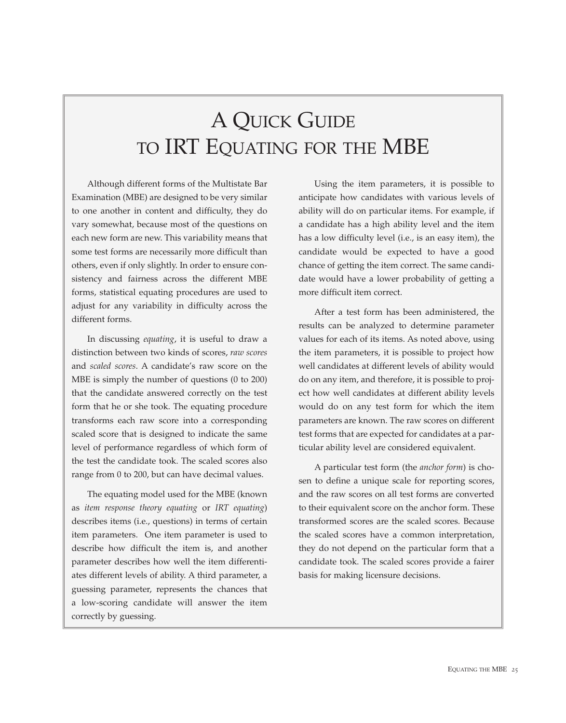## A QUICK GUIDE TO IRT EQUATING FOR THE MBE

Although different forms of the Multistate Bar Examination (MBE) are designed to be very similar to one another in content and difficulty, they do vary somewhat, because most of the questions on each new form are new. This variability means that some test forms are necessarily more difficult than others, even if only slightly. In order to ensure consistency and fairness across the different MBE forms, statistical equating procedures are used to adjust for any variability in difficulty across the different forms.

In discussing *equating*, it is useful to draw a distinction between two kinds of scores, *raw scores* and *scaled scores*. A candidate's raw score on the MBE is simply the number of questions (0 to 200) that the candidate answered correctly on the test form that he or she took. The equating procedure transforms each raw score into a corresponding scaled score that is designed to indicate the same level of performance regardless of which form of the test the candidate took. The scaled scores also range from 0 to 200, but can have decimal values.

The equating model used for the MBE (known as *item response theory equating* or *IRT equating*) describes items (i.e., questions) in terms of certain item parameters. One item parameter is used to describe how difficult the item is, and another parameter describes how well the item differentiates different levels of ability. A third parameter, a guessing parameter, represents the chances that a low-scoring candidate will answer the item correctly by guessing.

Using the item parameters, it is possible to anticipate how candidates with various levels of ability will do on particular items. For example, if a candidate has a high ability level and the item has a low difficulty level (i.e., is an easy item), the candidate would be expected to have a good chance of getting the item correct. The same candidate would have a lower probability of getting a more difficult item correct.

After a test form has been administered, the results can be analyzed to determine parameter values for each of its items. As noted above, using the item parameters, it is possible to project how well candidates at different levels of ability would do on any item, and therefore, it is possible to project how well candidates at different ability levels would do on any test form for which the item parameters are known. The raw scores on different test forms that are expected for candidates at a particular ability level are considered equivalent.

A particular test form (the *anchor form*) is chosen to define a unique scale for reporting scores, and the raw scores on all test forms are converted to their equivalent score on the anchor form. These transformed scores are the scaled scores. Because the scaled scores have a common interpretation, they do not depend on the particular form that a candidate took. The scaled scores provide a fairer basis for making licensure decisions.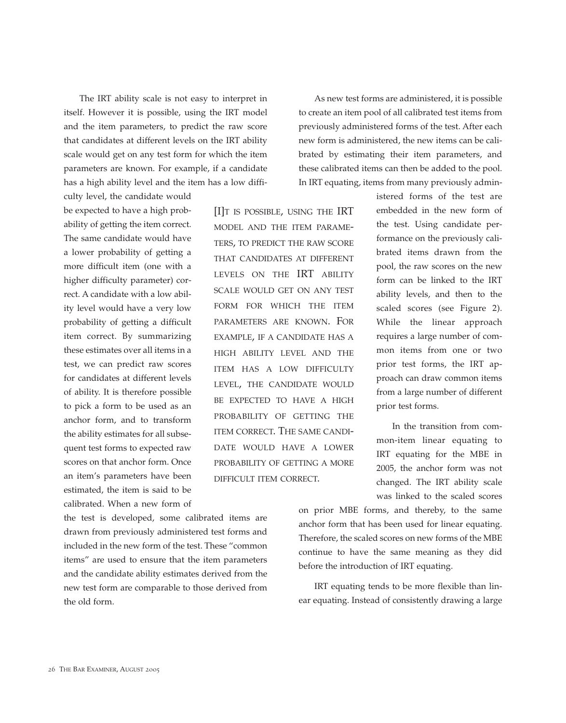The IRT ability scale is not easy to interpret in itself. However it is possible, using the IRT model and the item parameters, to predict the raw score that candidates at different levels on the IRT ability scale would get on any test form for which the item parameters are known. For example, if a candidate has a high ability level and the item has a low diffi-

culty level, the candidate would be expected to have a high probability of getting the item correct. The same candidate would have a lower probability of getting a more difficult item (one with a higher difficulty parameter) correct. A candidate with a low ability level would have a very low probability of getting a difficult item correct. By summarizing these estimates over all items in a test, we can predict raw scores for candidates at different levels of ability. It is therefore possible to pick a form to be used as an anchor form, and to transform the ability estimates for all subsequent test forms to expected raw scores on that anchor form. Once an item's parameters have been estimated, the item is said to be calibrated. When a new form of

[I]T IS POSSIBLE, USING THE IRT MODEL AND THE ITEM PARAME-TERS, TO PREDICT THE RAW SCORE THAT CANDIDATES AT DIFFERENT LEVELS ON THE IRT ABILITY SCALE WOULD GET ON ANY TEST FORM FOR WHICH THE ITEM PARAMETERS ARE KNOWN. FOR EXAMPLE, IF A CANDIDATE HAS A HIGH ABILITY LEVEL AND THE ITEM HAS A LOW DIFFICULTY LEVEL, THE CANDIDATE WOULD BE EXPECTED TO HAVE A HIGH PROBABILITY OF GETTING THE ITEM CORRECT. THE SAME CANDI-DATE WOULD HAVE A LOWER PROBABILITY OF GETTING A MORE DIFFICULT ITEM CORRECT.

the test is developed, some calibrated items are drawn from previously administered test forms and included in the new form of the test. These "common items" are used to ensure that the item parameters and the candidate ability estimates derived from the new test form are comparable to those derived from the old form.

As new test forms are administered, it is possible to create an item pool of all calibrated test items from previously administered forms of the test. After each new form is administered, the new items can be calibrated by estimating their item parameters, and these calibrated items can then be added to the pool. In IRT equating, items from many previously admin-

> istered forms of the test are embedded in the new form of the test. Using candidate performance on the previously calibrated items drawn from the pool, the raw scores on the new form can be linked to the IRT ability levels, and then to the scaled scores (see Figure 2). While the linear approach requires a large number of common items from one or two prior test forms, the IRT approach can draw common items from a large number of different prior test forms.

> In the transition from common-item linear equating to IRT equating for the MBE in 2005, the anchor form was not changed. The IRT ability scale was linked to the scaled scores

on prior MBE forms, and thereby, to the same anchor form that has been used for linear equating. Therefore, the scaled scores on new forms of the MBE continue to have the same meaning as they did before the introduction of IRT equating.

IRT equating tends to be more flexible than linear equating. Instead of consistently drawing a large